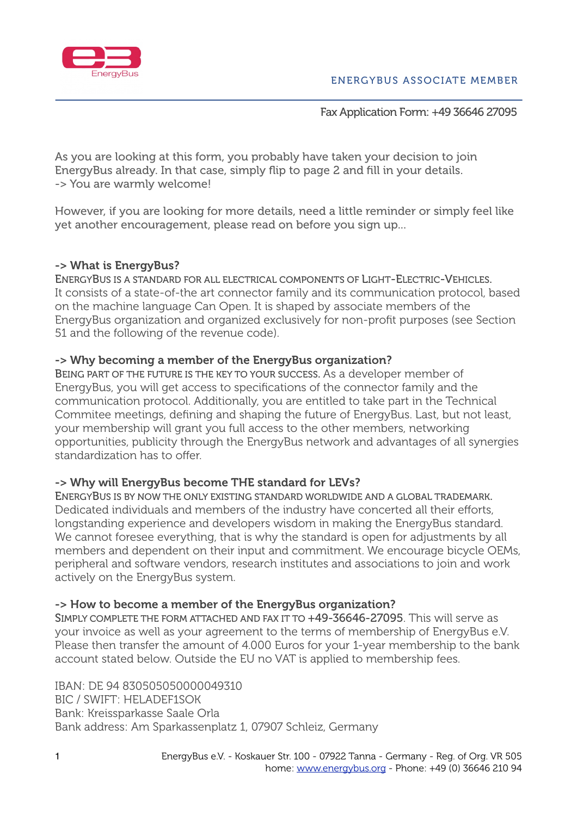

### Fax Application Form: +49 36646 27095

As you are looking at this form, you probably have taken your decision to join EnergyBus already. In that case, simply flip to page 2 and fill in your details. -> You are warmly welcome!

However, if you are looking for more details, need a little reminder or simply feel like yet another encouragement, please read on before you sign up...

## -> What is EnergyBus?

ENERGYBUS IS A STANDARD FOR ALL ELECTRICAL COMPONENTS OF LIGHT-ELECTRIC-VEHICLES. It consists of a state-of-the art connector family and its communication protocol, based on the machine language Can Open. It is shaped by associate members of the EnergyBus organization and organized exclusively for non-profit purposes (see Section 51 and the following of the revenue code).

## -> Why becoming a member of the EnergyBus organization?

BEING PART OF THE FUTURE IS THE KEY TO YOUR SUCCESS. As a developer member of EnergyBus, you will get access to specifications of the connector family and the communication protocol. Additionally, you are entitled to take part in the Technical Commitee meetings, defining and shaping the future of EnergyBus. Last, but not least, your membership will grant you full access to the other members, networking opportunities, publicity through the EnergyBus network and advantages of all synergies standardization has to offer.

# -> Why will EnergyBus become THE standard for LEVs?

ENERGYBUS IS BY NOW THE ONLY EXISTING STANDARD WORLDWIDE AND A GLOBAL TRADEMARK. Dedicated individuals and members of the industry have concerted all their efforts, longstanding experience and developers wisdom in making the EnergyBus standard. We cannot foresee everything, that is why the standard is open for adjustments by all members and dependent on their input and commitment. We encourage bicycle OEMs, peripheral and software vendors, research institutes and associations to join and work actively on the EnergyBus system.

# -> How to become a member of the EnergyBus organization?

SIMPLY COMPLETE THE FORM ATTACHED AND FAX IT TO +49-36646-27095. This will serve as your invoice as well as your agreement to the terms of membership of EnergyBus e.V. Please then transfer the amount of 4.000 Euros for your 1-year membership to the bank account stated below. Outside the EU no VAT is applied to membership fees.

IBAN: DE 94 830505050000049310 BIC / SWIFT: HELADEF1SOK Bank: Kreissparkasse Saale Orla Bank address: Am Sparkassenplatz 1, 07907 Schleiz, Germany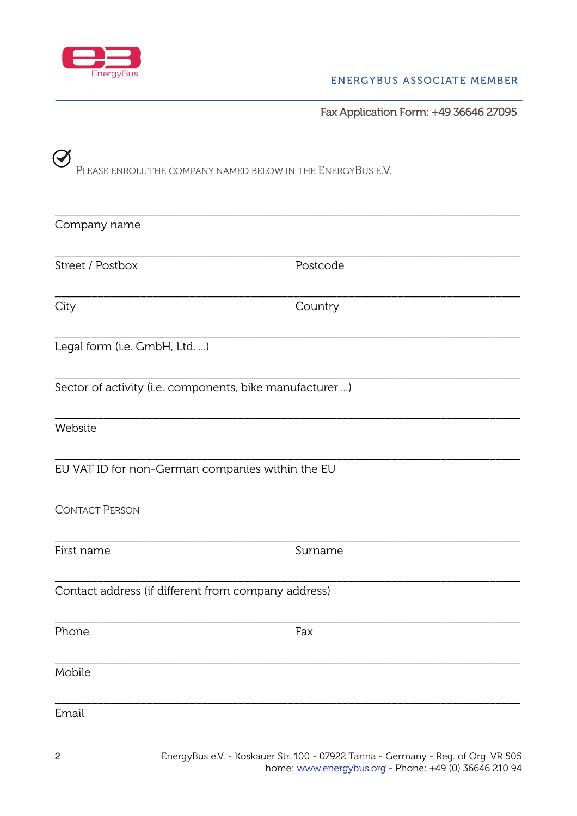

Fax Application Form: +49 36646 27095

| Please enroll the company named below in the EnergyBus e.V. |          |  |
|-------------------------------------------------------------|----------|--|
| Company name                                                |          |  |
| Street / Postbox                                            | Postcode |  |
| City                                                        | Country  |  |
| Legal form (i.e. GmbH, Ltd. )                               |          |  |
| Sector of activity (i.e. components, bike manufacturer )    |          |  |
| Website                                                     |          |  |
| EU VAT ID for non-German companies within the EU            |          |  |
| <b>CONTACT PERSON</b>                                       |          |  |
| First name                                                  | Surname  |  |
| Contact address (if different from company address)         |          |  |
| Phone                                                       | Fax      |  |
| Mobile                                                      |          |  |
| Email                                                       |          |  |